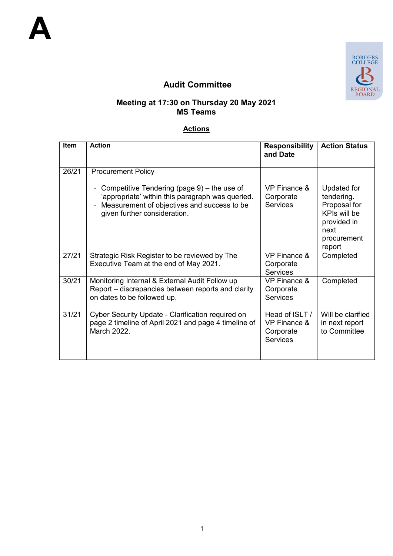

# **Audit Committee**

#### **Meeting at 17:30 on Thursday 20 May 2021 MS Teams**

### **Actions**

| <b>Item</b> | <b>Action</b>                                                                                                                                                                     | <b>Responsibility</b><br>and Date                                         | <b>Action Status</b>                                                                                      |
|-------------|-----------------------------------------------------------------------------------------------------------------------------------------------------------------------------------|---------------------------------------------------------------------------|-----------------------------------------------------------------------------------------------------------|
| 26/21       | <b>Procurement Policy</b>                                                                                                                                                         |                                                                           |                                                                                                           |
|             | Competitive Tendering (page $9$ ) – the use of<br>'appropriate' within this paragraph was queried.<br>Measurement of objectives and success to be<br>given further consideration. | VP Finance &<br>Corporate<br><b>Services</b>                              | Updated for<br>tendering.<br>Proposal for<br>KPIs will be<br>provided in<br>next<br>procurement<br>report |
| 27/21       | Strategic Risk Register to be reviewed by The<br>Executive Team at the end of May 2021.                                                                                           | <b>VP Finance &amp;</b><br>Corporate<br><b>Services</b>                   | Completed                                                                                                 |
| 30/21       | Monitoring Internal & External Audit Follow up<br>Report – discrepancies between reports and clarity<br>on dates to be followed up.                                               | <b>VP Finance &amp;</b><br>Corporate<br><b>Services</b>                   | Completed                                                                                                 |
| 31/21       | Cyber Security Update - Clarification required on<br>page 2 timeline of April 2021 and page 4 timeline of<br>March 2022.                                                          | Head of ISLT /<br><b>VP Finance &amp;</b><br>Corporate<br><b>Services</b> | Will be clarified<br>in next report<br>to Committee                                                       |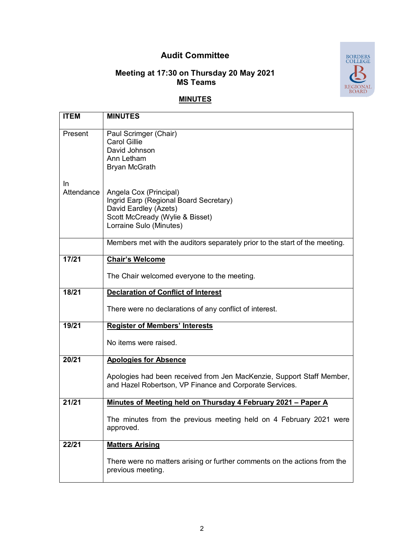# **Audit Committee**

#### **Meeting at 17:30 on Thursday 20 May 2021 MS Teams**



## **MINUTES**

| <b>ITEM</b>      | <b>MINUTES</b>                                                                                                                                                                  |
|------------------|---------------------------------------------------------------------------------------------------------------------------------------------------------------------------------|
| Present          | Paul Scrimger (Chair)<br><b>Carol Gillie</b><br>David Johnson<br>Ann Letham                                                                                                     |
| In<br>Attendance | <b>Bryan McGrath</b><br>Angela Cox (Principal)<br>Ingrid Earp (Regional Board Secretary)<br>David Eardley (Azets)<br>Scott McCready (Wylie & Bisset)<br>Lorraine Sulo (Minutes) |
|                  | Members met with the auditors separately prior to the start of the meeting.                                                                                                     |
| 17/21            | <b>Chair's Welcome</b>                                                                                                                                                          |
|                  | The Chair welcomed everyone to the meeting.                                                                                                                                     |
| 18/21            | <b>Declaration of Conflict of Interest</b>                                                                                                                                      |
|                  | There were no declarations of any conflict of interest.                                                                                                                         |
| 19/21            | <b>Register of Members' Interests</b>                                                                                                                                           |
|                  | No items were raised.                                                                                                                                                           |
| 20/21            | <b>Apologies for Absence</b>                                                                                                                                                    |
|                  | Apologies had been received from Jen MacKenzie, Support Staff Member,<br>and Hazel Robertson, VP Finance and Corporate Services.                                                |
| 21/21            | Minutes of Meeting held on Thursday 4 February 2021 - Paper A                                                                                                                   |
|                  | The minutes from the previous meeting held on 4 February 2021 were<br>approved.                                                                                                 |
| 22/21            | <b>Matters Arising</b>                                                                                                                                                          |
|                  | There were no matters arising or further comments on the actions from the<br>previous meeting.                                                                                  |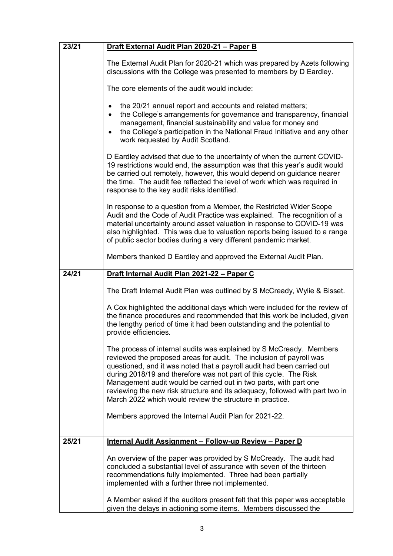| 23/21 | Draft External Audit Plan 2020-21 - Paper B                                                                                                                                                                                                                                                                                                                                                                                                                                                                |  |
|-------|------------------------------------------------------------------------------------------------------------------------------------------------------------------------------------------------------------------------------------------------------------------------------------------------------------------------------------------------------------------------------------------------------------------------------------------------------------------------------------------------------------|--|
|       | The External Audit Plan for 2020-21 which was prepared by Azets following<br>discussions with the College was presented to members by D Eardley.                                                                                                                                                                                                                                                                                                                                                           |  |
|       | The core elements of the audit would include:                                                                                                                                                                                                                                                                                                                                                                                                                                                              |  |
|       | the 20/21 annual report and accounts and related matters;<br>$\bullet$<br>the College's arrangements for governance and transparency, financial<br>$\bullet$<br>management, financial sustainability and value for money and<br>the College's participation in the National Fraud Initiative and any other<br>$\bullet$<br>work requested by Audit Scotland.                                                                                                                                               |  |
|       | D Eardley advised that due to the uncertainty of when the current COVID-<br>19 restrictions would end, the assumption was that this year's audit would<br>be carried out remotely, however, this would depend on guidance nearer<br>the time. The audit fee reflected the level of work which was required in<br>response to the key audit risks identified.                                                                                                                                               |  |
|       | In response to a question from a Member, the Restricted Wider Scope<br>Audit and the Code of Audit Practice was explained. The recognition of a<br>material uncertainty around asset valuation in response to COVID-19 was<br>also highlighted. This was due to valuation reports being issued to a range<br>of public sector bodies during a very different pandemic market.                                                                                                                              |  |
|       | Members thanked D Eardley and approved the External Audit Plan.                                                                                                                                                                                                                                                                                                                                                                                                                                            |  |
| 24/21 | Draft Internal Audit Plan 2021-22 - Paper C                                                                                                                                                                                                                                                                                                                                                                                                                                                                |  |
|       | The Draft Internal Audit Plan was outlined by S McCready, Wylie & Bisset.                                                                                                                                                                                                                                                                                                                                                                                                                                  |  |
|       | A Cox highlighted the additional days which were included for the review of<br>the finance procedures and recommended that this work be included, given<br>the lengthy period of time it had been outstanding and the potential to<br>provide efficiencies.                                                                                                                                                                                                                                                |  |
|       | The process of internal audits was explained by S McCready. Members<br>reviewed the proposed areas for audit. The inclusion of payroll was<br>questioned, and it was noted that a payroll audit had been carried out<br>during 2018/19 and therefore was not part of this cycle. The Risk<br>Management audit would be carried out in two parts, with part one<br>reviewing the new risk structure and its adequacy, followed with part two in<br>March 2022 which would review the structure in practice. |  |
|       | Members approved the Internal Audit Plan for 2021-22.                                                                                                                                                                                                                                                                                                                                                                                                                                                      |  |
| 25/21 | Internal Audit Assignment - Follow-up Review - Paper D                                                                                                                                                                                                                                                                                                                                                                                                                                                     |  |
|       | An overview of the paper was provided by S McCready. The audit had<br>concluded a substantial level of assurance with seven of the thirteen<br>recommendations fully implemented. Three had been partially<br>implemented with a further three not implemented.                                                                                                                                                                                                                                            |  |
|       | A Member asked if the auditors present felt that this paper was acceptable<br>given the delays in actioning some items. Members discussed the                                                                                                                                                                                                                                                                                                                                                              |  |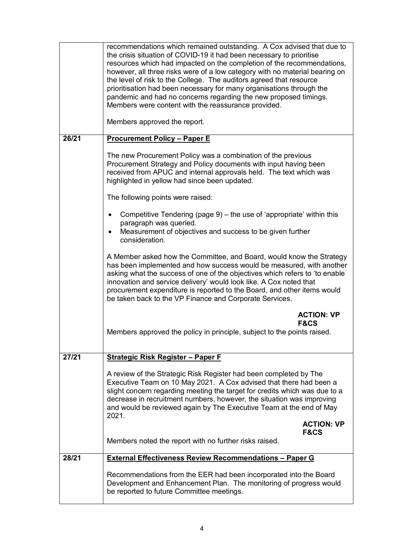|       | recommendations which remained outstanding. A Cox advised that due to<br>the crisis situation of COVID-19 it had been necessary to prioritise<br>resources which had impacted on the completion of the recommendations,<br>however, all three risks were of a low category with no material bearing on<br>the level of risk to the College. The auditors agreed that resource<br>prioritisation had been necessary for many organisations through the<br>pandemic and had no concerns regarding the new proposed timings.<br>Members were content with the reassurance provided.<br>Members approved the report. |
|-------|------------------------------------------------------------------------------------------------------------------------------------------------------------------------------------------------------------------------------------------------------------------------------------------------------------------------------------------------------------------------------------------------------------------------------------------------------------------------------------------------------------------------------------------------------------------------------------------------------------------|
| 26/21 | <b>Procurement Policy - Paper E</b>                                                                                                                                                                                                                                                                                                                                                                                                                                                                                                                                                                              |
|       | The new Procurement Policy was a combination of the previous<br>Procurement Strategy and Policy documents with input having been<br>received from APUC and internal approvals held. The text which was<br>highlighted in yellow had since been updated.                                                                                                                                                                                                                                                                                                                                                          |
|       | The following points were raised:                                                                                                                                                                                                                                                                                                                                                                                                                                                                                                                                                                                |
|       | Competitive Tendering (page 9) – the use of 'appropriate' within this<br>paragraph was queried.<br>Measurement of objectives and success to be given further<br>$\bullet$<br>consideration.                                                                                                                                                                                                                                                                                                                                                                                                                      |
|       | A Member asked how the Committee, and Board, would know the Strategy<br>has been implemented and how success would be measured, with another<br>asking what the success of one of the objectives which refers to 'to enable<br>innovation and service delivery' would look like. A Cox noted that<br>procurement expenditure is reported to the Board, and other items would<br>be taken back to the VP Finance and Corporate Services.                                                                                                                                                                          |
|       | <b>ACTION: VP</b><br><b>F&amp;CS</b><br>Members approved the policy in principle, subject to the points raised.                                                                                                                                                                                                                                                                                                                                                                                                                                                                                                  |
| 27/21 | <b>Strategic Risk Register - Paper F</b>                                                                                                                                                                                                                                                                                                                                                                                                                                                                                                                                                                         |
|       | A review of the Strategic Risk Register had been completed by The<br>Executive Team on 10 May 2021. A Cox advised that there had been a<br>slight concern regarding meeting the target for credits which was due to a<br>decrease in recruitment numbers, however, the situation was improving<br>and would be reviewed again by The Executive Team at the end of May<br>2021.                                                                                                                                                                                                                                   |
|       | <b>ACTION: VP</b><br><b>F&amp;CS</b><br>Members noted the report with no further risks raised.                                                                                                                                                                                                                                                                                                                                                                                                                                                                                                                   |
| 28/21 | <b>External Effectiveness Review Recommendations - Paper G</b>                                                                                                                                                                                                                                                                                                                                                                                                                                                                                                                                                   |
|       | Recommendations from the EER had been incorporated into the Board<br>Development and Enhancement Plan. The monitoring of progress would<br>be reported to future Committee meetings.                                                                                                                                                                                                                                                                                                                                                                                                                             |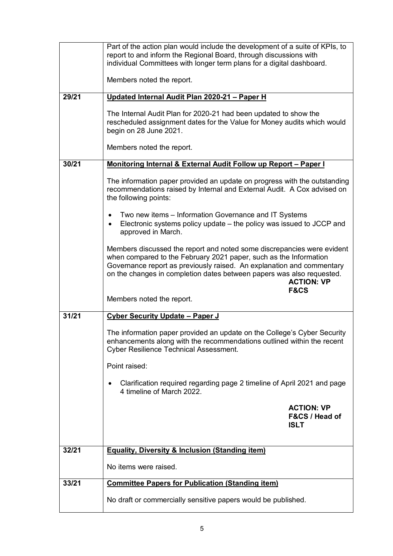|       | Part of the action plan would include the development of a suite of KPIs, to<br>report to and inform the Regional Board, through discussions with<br>individual Committees with longer term plans for a digital dashboard.                                                                                                                                         |  |  |
|-------|--------------------------------------------------------------------------------------------------------------------------------------------------------------------------------------------------------------------------------------------------------------------------------------------------------------------------------------------------------------------|--|--|
|       | Members noted the report.                                                                                                                                                                                                                                                                                                                                          |  |  |
| 29/21 | Updated Internal Audit Plan 2020-21 - Paper H                                                                                                                                                                                                                                                                                                                      |  |  |
|       | The Internal Audit Plan for 2020-21 had been updated to show the<br>rescheduled assignment dates for the Value for Money audits which would<br>begin on 28 June 2021.                                                                                                                                                                                              |  |  |
|       | Members noted the report.                                                                                                                                                                                                                                                                                                                                          |  |  |
| 30/21 | <b>Monitoring Internal &amp; External Audit Follow up Report - Paper I</b>                                                                                                                                                                                                                                                                                         |  |  |
|       | The information paper provided an update on progress with the outstanding<br>recommendations raised by Internal and External Audit. A Cox advised on<br>the following points:                                                                                                                                                                                      |  |  |
|       | Two new items – Information Governance and IT Systems<br>Electronic systems policy update - the policy was issued to JCCP and<br>$\bullet$<br>approved in March.                                                                                                                                                                                                   |  |  |
|       | Members discussed the report and noted some discrepancies were evident<br>when compared to the February 2021 paper, such as the Information<br>Governance report as previously raised. An explanation and commentary<br>on the changes in completion dates between papers was also requested.<br><b>ACTION: VP</b><br><b>F&amp;CS</b><br>Members noted the report. |  |  |
|       |                                                                                                                                                                                                                                                                                                                                                                    |  |  |
| 31/21 | <b>Cyber Security Update - Paper J</b>                                                                                                                                                                                                                                                                                                                             |  |  |
|       | The information paper provided an update on the College's Cyber Security<br>enhancements along with the recommendations outlined within the recent<br><b>Cyber Resilience Technical Assessment.</b>                                                                                                                                                                |  |  |
|       | Point raised:                                                                                                                                                                                                                                                                                                                                                      |  |  |
|       | Clarification required regarding page 2 timeline of April 2021 and page<br>$\bullet$<br>4 timeline of March 2022.                                                                                                                                                                                                                                                  |  |  |
|       | <b>ACTION: VP</b>                                                                                                                                                                                                                                                                                                                                                  |  |  |
|       | <b>F&amp;CS / Head of</b><br><b>ISLT</b>                                                                                                                                                                                                                                                                                                                           |  |  |
|       |                                                                                                                                                                                                                                                                                                                                                                    |  |  |
| 32/21 | <b>Equality, Diversity &amp; Inclusion (Standing item)</b>                                                                                                                                                                                                                                                                                                         |  |  |
|       | No items were raised.                                                                                                                                                                                                                                                                                                                                              |  |  |
|       |                                                                                                                                                                                                                                                                                                                                                                    |  |  |
| 33/21 | <b>Committee Papers for Publication (Standing item)</b>                                                                                                                                                                                                                                                                                                            |  |  |
|       | No draft or commercially sensitive papers would be published.                                                                                                                                                                                                                                                                                                      |  |  |